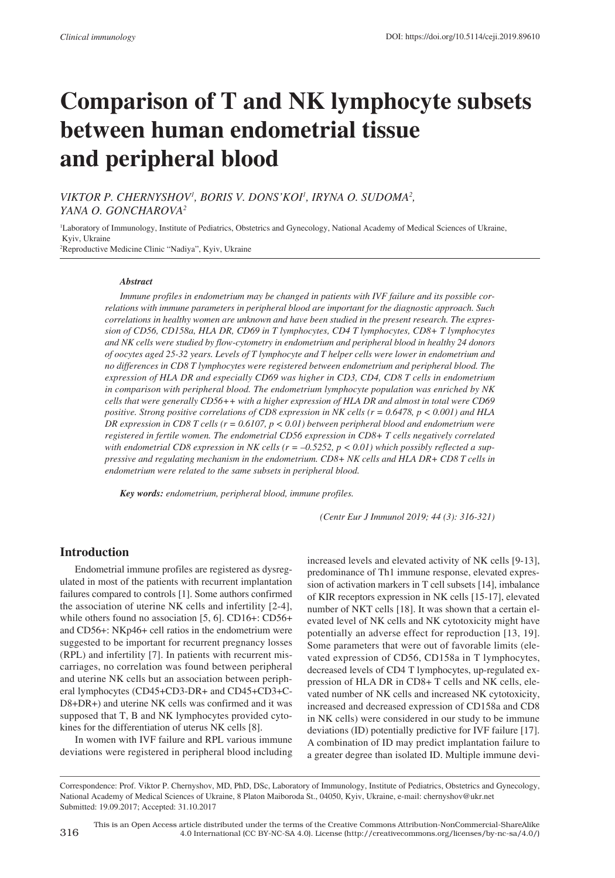# **Comparison of T and NK lymphocyte subsets between human endometrial tissue and peripheral blood**

*VIKTOR P. CHERNYSHOV1 , BORIS V. DONS'KOI<sup>1</sup> , IRYNA O. SUDOMA2 , YANA O. GONCHAROVA2*

1 Laboratory of Immunology, Institute of Pediatrics, Obstetrics and Gynecology, National Academy of Medical Sciences of Ukraine, Kyiv, Ukraine 2 Reproductive Medicine Clinic "Nadiya", Kyiv, Ukraine

#### *Abstract*

*Immune profiles in endometrium may be changed in patients with IVF failure and its possible correlations with immune parameters in peripheral blood are important for the diagnostic approach. Such correlations in healthy women are unknown and have been studied in the present research. The expression of CD56, CD158a, HLA DR, CD69 in T lymphocytes, CD4 T lymphocytes, CD8+ T lymphocytes and NK cells were studied by flow-cytometry in endometrium and peripheral blood in healthy 24 donors of oocytes aged 25-32 years. Levels of T lymphocyte and T helper cells were lower in endometrium and no differences in CD8 T lymphocytes were registered between endometrium and peripheral blood. The expression of HLA DR and especially CD69 was higher in CD3, CD4, CD8 T cells in endometrium in comparison with peripheral blood. The endometrium lymphocyte population was enriched by NK cells that were generally CD56++ with a higher expression of HLA DR and almost in total were CD69 positive. Strong positive correlations of CD8 expression in NK cells (r = 0.6478, p < 0.001) and HLA DR expression in CD8 T cells (r = 0.6107, p < 0.01) between peripheral blood and endometrium were registered in fertile women. The endometrial CD56 expression in CD8+ T cells negatively correlated*  with endometrial CD8 expression in NK cells  $(r = -0.5252, p < 0.01)$  which possibly reflected a sup*pressive and regulating mechanism in the endometrium. CD8+ NK cells and HLA DR+ CD8 T cells in endometrium were related to the same subsets in peripheral blood.*

*Key words: endometrium, peripheral blood, immune profiles.*

*(Centr Eur J Immunol 2019; 44 (3): 316-321)*

## **Introduction**

Endometrial immune profiles are registered as dysregulated in most of the patients with recurrent implantation failures compared to controls [1]. Some authors confirmed the association of uterine NK cells and infertility [2-4], while others found no association [5, 6]. CD16+: CD56+ and CD56+: NKp46+ cell ratios in the endometrium were suggested to be important for recurrent pregnancy losses (RPL) and infertility [7]. In patients with recurrent miscarriages, no correlation was found between peripheral and uterine NK cells but an association between peripheral lymphocytes (CD45+CD3-DR+ and CD45+CD3+C-D8+DR+) and uterine NK cells was confirmed and it was supposed that T, B and NK lymphocytes provided cytokines for the differentiation of uterus NK cells [8].

In women with IVF failure and RPL various immune deviations were registered in peripheral blood including increased levels and elevated activity of NK cells [9-13], predominance of Th1 immune response, elevated expression of activation markers in T cell subsets [14], imbalance of KIR receptors expression in NK cells [15-17], elevated number of NKT cells [18]. It was shown that a certain elevated level of NK cells and NK cytotoxicity might have potentially an adverse effect for reproduction [13, 19]. Some parameters that were out of favorable limits (elevated expression of CD56, CD158a in T lymphocytes, decreased levels of CD4 T lymphocytes, up-regulated expression of HLA DR in CD8+ T cells and NK cells, elevated number of NK cells and increased NK cytotoxicity, increased and decreased expression of CD158a and CD8 in NK cells) were considered in our study to be immune deviations (ID) potentially predictive for IVF failure [17]. A combination of ID may predict implantation failure to a greater degree than isolated ID. Multiple immune devi-

Correspondence: Prof. Viktor P. Chernyshov, MD, PhD, DSc, Laboratory of Immunology, Institute of Pediatrics, Obstetrics and Gynecology, National Academy of Medical Sciences of Ukraine, 8 Platon Maiboroda St., 04050, Kyiv, Ukraine, e-mail: chernyshov@ukr.net Submitted: 19.09.2017; Accepted: 31.10.2017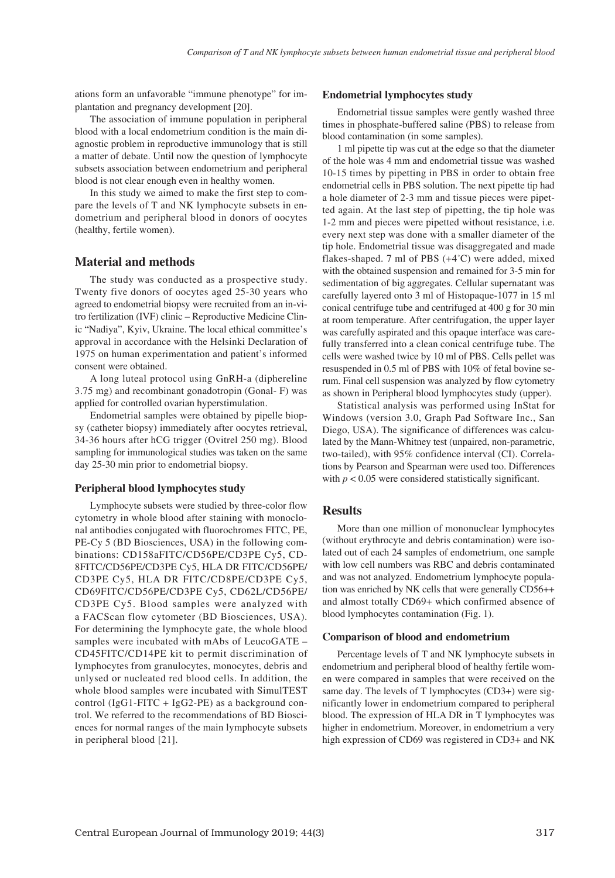ations form an unfavorable "immune phenotype" for implantation and pregnancy development [20].

The association of immune population in peripheral blood with a local endometrium condition is the main diagnostic problem in reproductive immunology that is still a matter of debate. Until now the question of lymphocyte subsets association between endometrium and peripheral blood is not clear enough even in healthy women.

In this study we aimed to make the first step to compare the levels of T and NK lymphocyte subsets in endometrium and peripheral blood in donors of oocytes (healthy, fertile women).

## **Material and methods**

The study was conducted as a prospective study. Twenty five donors of oocytes aged 25-30 years who agreed to endometrial biopsy were recruited from an in-vitro fertilization (IVF) clinic – Reproductive Medicine Clinic "Nadiya", Kyiv, Ukraine. The local ethical committee's approval in accordance with the Helsinki Declaration of 1975 on human experimentation and patient's informed consent were obtained.

A long luteal protocol using GnRH-a (diphereline 3.75 mg) and recombinant gonadotropin (Gonal- F) was applied for controlled ovarian hyperstimulation.

Endometrial samples were obtained by pipelle biopsy (catheter biopsy) immediately after oocytes retrieval, 34-36 hours after hCG trigger (Ovitrel 250 mg). Blood sampling for immunological studies was taken on the same day 25-30 min prior to endometrial biopsy.

#### **Peripheral blood lymphocytes study**

Lymphocyte subsets were studied by three-color flow cytometry in whole blood after staining with monoclonal antibodies conjugated with fluorochromes FITC, PE, PE-Cy 5 (BD Biosciences, USA) in the following combinations: CD158aFITC/CD56PE/CD3PE Cy5, CD-8FITC/CD56PE/CD3PE Cy5, HLA DR FITC/CD56PE/ CD3PE Cy5, HLA DR FITC/CD8PE/CD3PE Cy5, CD69FITC/CD56PE/CD3PE Cy5, CD62L/CD56PE/ CD3PE Cy5. Blood samples were analyzed with a FACScan flow cytometer (BD Biosciences, USA). For determining the lymphocyte gate, the whole blood samples were incubated with mAbs of LeucoGATE – CD45FITC/CD14PE kit to permit discrimination of lymphocytes from granulocytes, monocytes, debris and unlysed or nucleated red blood cells. In addition, the whole blood samples were incubated with SimulTEST control (IgG1-FITC + IgG2-PE) as a background control. We referred to the recommendations of BD Biosciences for normal ranges of the main lymphocyte subsets in peripheral blood [21].

#### **Endometrial lymphocytes study**

Endometrial tissue samples were gently washed three times in phosphate-buffered saline (PBS) to release from blood contamination (in some samples).

1 ml pipette tip was cut at the edge so that the diameter of the hole was 4 mm and endometrial tissue was washed 10-15 times by pipetting in PBS in order to obtain free endometrial cells in PBS solution. The next pipette tip had a hole diameter of 2-3 mm and tissue pieces were pipetted again. At the last step of pipetting, the tip hole was 1-2 mm and pieces were pipetted without resistance, i.e. every next step was done with a smaller diameter of the tip hole. Endometrial tissue was disaggregated and made flakes-shaped. 7 ml of PBS (+4°C) were added, mixed with the obtained suspension and remained for 3-5 min for sedimentation of big aggregates. Cellular supernatant was carefully layered onto 3 ml of Histopaque-1077 in 15 ml conical centrifuge tube and centrifuged at 400 g for 30 min at room temperature. After centrifugation, the upper layer was carefully aspirated and this opaque interface was carefully transferred into a clean conical centrifuge tube. The cells were washed twice by 10 ml of PBS. Cells pellet was resuspended in 0.5 ml of PBS with 10% of fetal bovine serum. Final cell suspension was analyzed by flow cytometry as shown in Peripheral blood lymphocytes study (upper).

Statistical analysis was performed using InStat for Windows (version 3.0, Graph Pad Software Inc., San Diego, USA). The significance of differences was calculated by the Mann-Whitney test (unpaired, non-parametric, two-tailed), with 95% confidence interval (CI). Correlations by Pearson and Spearman were used too. Differences with  $p < 0.05$  were considered statistically significant.

## **Results**

More than one million of mononuclear lymphocytes (without erythrocyte and debris contamination) were isolated out of each 24 samples of endometrium, one sample with low cell numbers was RBC and debris contaminated and was not analyzed. Endometrium lymphocyte population was enriched by NK cells that were generally CD56++ and almost totally CD69+ which confirmed absence of blood lymphocytes contamination (Fig. 1).

#### **Comparison of blood and endometrium**

Percentage levels of T and NK lymphocyte subsets in endometrium and peripheral blood of healthy fertile women were compared in samples that were received on the same day. The levels of T lymphocytes (CD3+) were significantly lower in endometrium compared to peripheral blood. The expression of HLA DR in T lymphocytes was higher in endometrium. Moreover, in endometrium a very high expression of CD69 was registered in CD3+ and NK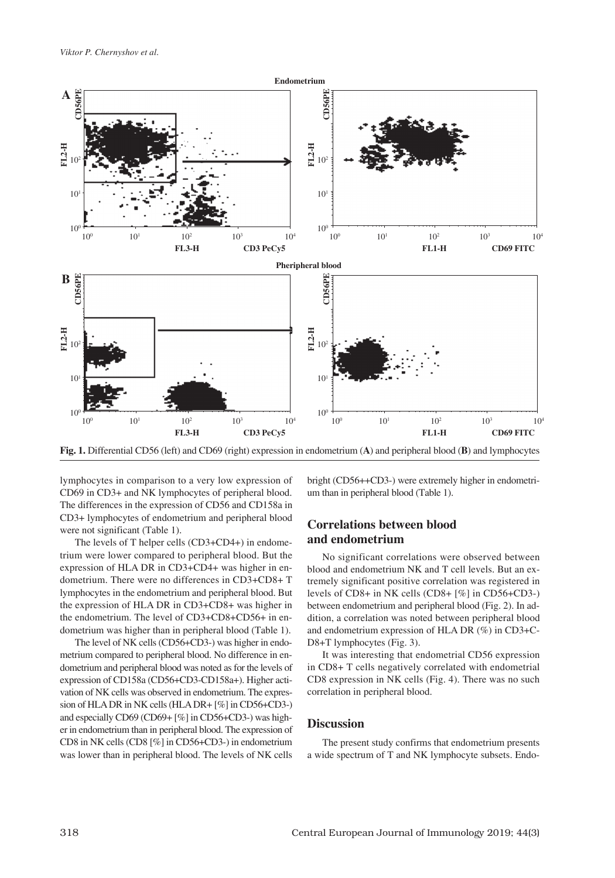

**Fig. 1.** Differential CD56 (left) and CD69 (right) expression in endometrium (**A**) and peripheral blood (**B**) and lymphocytes

lymphocytes in comparison to a very low expression of CD69 in CD3+ and NK lymphocytes of peripheral blood. The differences in the expression of CD56 and CD158a in CD3+ lymphocytes of endometrium and peripheral blood were not significant (Table 1).

The levels of T helper cells (CD3+CD4+) in endometrium were lower compared to peripheral blood. But the expression of HLA DR in CD3+CD4+ was higher in endometrium. There were no differences in CD3+CD8+ T lymphocytes in the endometrium and peripheral blood. But the expression of HLA DR in CD3+CD8+ was higher in the endometrium. The level of CD3+CD8+CD56+ in endometrium was higher than in peripheral blood (Table 1).

The level of NK cells (CD56+CD3-) was higher in endometrium compared to peripheral blood. No difference in endometrium and peripheral blood was noted as for the levels of expression of CD158a (CD56+CD3-CD158a+). Higher activation of NK cells was observed in endometrium. The expression of HLA DR in NK cells (HLA DR+ [%] in CD56+CD3-) and especially CD69 (CD69+ [%] in CD56+CD3-) was higher in endometrium than in peripheral blood. The expression of CD8 in NK cells (CD8 [%] in CD56+CD3-) in endometrium was lower than in peripheral blood. The levels of NK cells

bright (CD56++CD3-) were extremely higher in endometrium than in peripheral blood (Table 1).

## **Correlations between blood and endometrium**

No significant correlations were observed between blood and endometrium NK and T cell levels. But an extremely significant positive correlation was registered in levels of CD8+ in NK cells (CD8+ [%] in CD56+CD3-) between endometrium and peripheral blood (Fig. 2). In addition, a correlation was noted between peripheral blood and endometrium expression of HLA DR (%) in CD3+C-D8+T lymphocytes (Fig. 3).

It was interesting that endometrial CD56 expression in CD8+ T cells negatively correlated with endometrial CD8 expression in NK cells (Fig. 4). There was no such correlation in peripheral blood.

## **Discussion**

The present study confirms that endometrium presents a wide spectrum of T and NK lymphocyte subsets. Endo-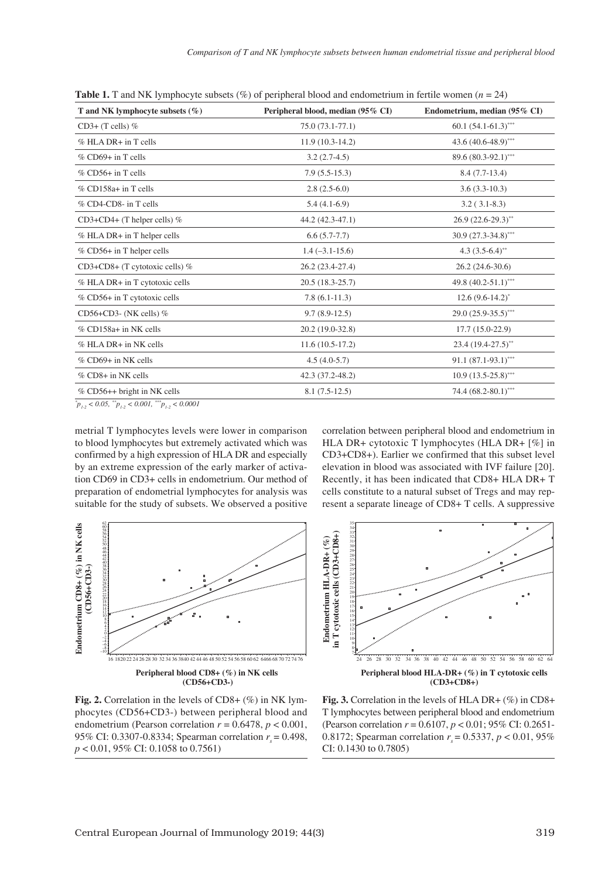| T and NK lymphocyte subsets $(\%)$ | Peripheral blood, median (95% CI) | Endometrium, median (95% CI) |
|------------------------------------|-----------------------------------|------------------------------|
| $CD3+$ (T cells) %                 | $75.0(73.1-77.1)$                 | $60.1 (54.1 - 61.3)^{***}$   |
| $%$ HLA DR $+$ in T cells          | $11.9(10.3-14.2)$                 | 43.6 (40.6-48.9)***          |
| $%$ CD69+ in T cells               | $3.2(2.7-4.5)$                    | 89.6 (80.3-92.1)***          |
| $%$ CD56+ in T cells               | $7.9(5.5-15.3)$                   | $8.4(7.7-13.4)$              |
| % CD158a+ in T cells               | $2.8(2.5-6.0)$                    | $3.6(3.3-10.3)$              |
| % CD4-CD8- in T cells              | $5.4(4.1-6.9)$                    | $3.2(3.1-8.3)$               |
| $CD3+CD4+$ (T helper cells) %      | 44.2 (42.3-47.1)                  | $26.9(22.6-29.3)$ **         |
| % HLA DR+ in T helper cells        | $6.6(5.7-7.7)$                    | $30.9(27.3-34.8)$ ***        |
| % CD56+ in T helper cells          | $1.4(-3.1-15.6)$                  | 4.3 $(3.5-6.4)$ **           |
| $CD3+CD8+$ (T cytotoxic cells) %   | 26.2 (23.4-27.4)                  | $26.2(24.6-30.6)$            |
| % HLA DR+ in T cytotoxic cells     | $20.5(18.3-25.7)$                 | 49.8 (40.2-51.1)***          |
| % CD56+ in T cytotoxic cells       | $7.8(6.1-11.3)$                   | $12.6(9.6-14.2)^{*}$         |
| CD56+CD3- (NK cells) $%$           | $9.7(8.9-12.5)$                   | $29.0(25.9 - 35.5)^{***}$    |
| % CD158a+ in NK cells              | 20.2 (19.0-32.8)                  | $17.7(15.0-22.9)$            |
| % HLA DR+ in NK cells              | $11.6(10.5-17.2)$                 | $23.4(19.4-27.5)$ **         |
| % CD69+ in NK cells                | $4.5(4.0-5.7)$                    | $91.1 (87.1 - 93.1)^{***}$   |
| % CD8+ in NK cells                 | 42.3 (37.2-48.2)                  | $10.9(13.5-25.8)$ ***        |
| % CD56++ bright in NK cells        | $8.1(7.5-12.5)$                   | 74.4 $(68.2 - 80.1)$ ***     |

**Table 1.** T and NK lymphocyte subsets (%) of peripheral blood and endometrium in fertile women ( $n = 24$ )

 $P_{1-2}$  < 0.05,  $P_{1-2}$  < 0.001,  $P_{1-2}$  < 0.0001

metrial T lymphocytes levels were lower in comparison to blood lymphocytes but extremely activated which was confirmed by a high expression of HLA DR and especially by an extreme expression of the early marker of activation CD69 in CD3+ cells in endometrium. Our method of preparation of endometrial lymphocytes for analysis was suitable for the study of subsets. We observed a positive

correlation between peripheral blood and endometrium in HLA DR+ cytotoxic T lymphocytes (HLA DR+ [%] in CD3+CD8+). Earlier we confirmed that this subset level elevation in blood was associated with IVF failure [20]. Recently, it has been indicated that CD8+ HLA DR+ T cells constitute to a natural subset of Tregs and may represent a separate lineage of CD8+ T cells. A suppressive





**Fig. 2.** Correlation in the levels of CD8+ (%) in NK lymphocytes (CD56+CD3-) between peripheral blood and endometrium (Pearson correlation  $r = 0.6478$ ,  $p < 0.001$ , 95% CI: 0.3307-0.8334; Spearman correlation  $r = 0.498$ , *p* < 0.01, 95% CI: 0.1058 to 0.7561)

**Fig. 3.** Correlation in the levels of HLA DR+ (%) in CD8+ T lymphocytes between peripheral blood and endometrium (Pearson correlation *r* = 0.6107, *p* < 0.01; 95% CI: 0.2651- 0.8172; Spearman correlation  $r = 0.5337$ ,  $p < 0.01$ , 95% CI: 0.1430 to 0.7805)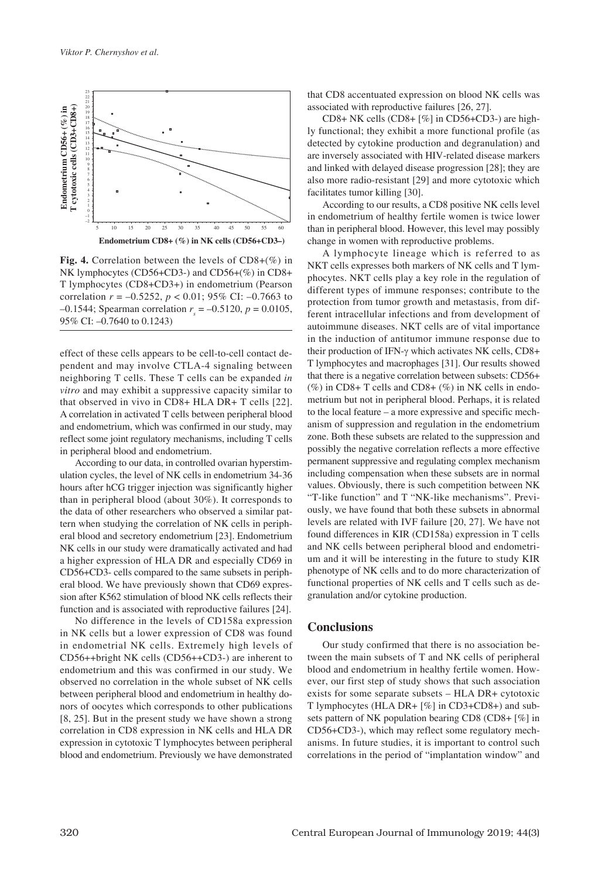

**Fig. 4.** Correlation between the levels of CD8+(%) in NK lymphocytes (CD56+CD3-) and CD56+(%) in CD8+ T lymphocytes (CD8+CD3+) in endometrium (Pearson correlation *r* = –0.5252, *p* < 0.01; 95% CI: –0.7663 to  $-0.1544$ ; Spearman correlation  $r_s = -0.5120$ ,  $p = 0.0105$ ,

effect of these cells appears to be cell-to-cell contact dependent and may involve CTLA-4 signaling between neighboring T cells. These T cells can be expanded *in vitro* and may exhibit a suppressive capacity similar to that observed in vivo in CD8+ HLA DR+ T cells [22]. A correlation in activated T cells between peripheral blood and endometrium, which was confirmed in our study, may reflect some joint regulatory mechanisms, including T cells in peripheral blood and endometrium.

According to our data, in controlled ovarian hyperstimulation cycles, the level of NK cells in endometrium 34-36 hours after hCG trigger injection was significantly higher than in peripheral blood (about 30%). It corresponds to the data of other researchers who observed a similar pattern when studying the correlation of NK cells in peripheral blood and secretory endometrium [23]. Endometrium NK cells in our study were dramatically activated and had a higher expression of HLA DR and especially CD69 in CD56+CD3- cells compared to the same subsets in peripheral blood. We have previously shown that CD69 expression after K562 stimulation of blood NK cells reflects their function and is associated with reproductive failures [24].

No difference in the levels of CD158a expression in NK cells but a lower expression of CD8 was found in endometrial NK cells. Extremely high levels of CD56++bright NK cells (CD56++CD3-) are inherent to endometrium and this was confirmed in our study. We observed no correlation in the whole subset of NK cells between peripheral blood and endometrium in healthy donors of oocytes which corresponds to other publications [8, 25]. But in the present study we have shown a strong correlation in CD8 expression in NK cells and HLA DR expression in cytotoxic T lymphocytes between peripheral blood and endometrium. Previously we have demonstrated that CD8 accentuated expression on blood NK cells was associated with reproductive failures [26, 27].

CD8+ NK cells (CD8+ [%] in CD56+CD3-) are highly functional; they exhibit a more functional profile (as detected by cytokine production and degranulation) and are inversely associated with HIV-related disease markers and linked with delayed disease progression [28]; they are also more radio-resistant [29] and more cytotoxic which facilitates tumor killing [30].

According to our results, a CD8 positive NK cells level in endometrium of healthy fertile women is twice lower than in peripheral blood. However, this level may possibly change in women with reproductive problems.

A lymphocyte lineage which is referred to as NKT cells expresses both markers of NK cells and T lymphocytes. NKT cells play a key role in the regulation of different types of immune responses; contribute to the protection from tumor growth and metastasis, from different intracellular infections and from development of autoimmune diseases. NKT cells are of vital importance in the induction of antitumor immune response due to their production of IFN-γ which activates NK cells, CD8+ T lymphocytes and macrophages [31]. Our results showed that there is a negative correlation between subsets: CD56+ (%) in CD8+ T cells and CD8+ (%) in NK cells in endometrium but not in peripheral blood. Perhaps, it is related to the local feature – a more expressive and specific mechanism of suppression and regulation in the endometrium zone. Both these subsets are related to the suppression and possibly the negative correlation reflects a more effective permanent suppressive and regulating complex mechanism including compensation when these subsets are in normal values. Obviously, there is such competition between NK "T-like function" and T "NK-like mechanisms". Previously, we have found that both these subsets in abnormal levels are related with IVF failure [20, 27]. We have not found differences in KIR (CD158a) expression in T cells and NK cells between peripheral blood and endometrium and it will be interesting in the future to study KIR phenotype of NK cells and to do more characterization of functional properties of NK cells and T cells such as degranulation and/or cytokine production.

## **Conclusions**

Our study confirmed that there is no association between the main subsets of T and NK cells of peripheral blood and endometrium in healthy fertile women. However, our first step of study shows that such association exists for some separate subsets – HLA DR+ cytotoxic T lymphocytes (HLA DR+ [%] in CD3+CD8+) and subsets pattern of NK population bearing CD8 (CD8+ [%] in CD56+CD3-), which may reflect some regulatory mechanisms. In future studies, it is important to control such correlations in the period of "implantation window" and